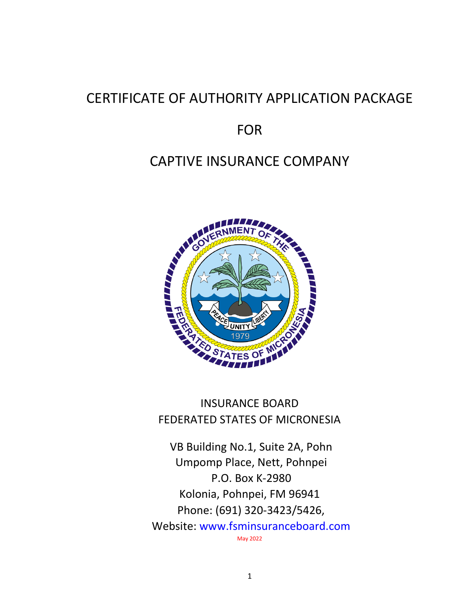# CERTIFICATE OF AUTHORITY APPLICATION PACKAGE

# FOR

# CAPTIVE INSURANCE COMPANY



# INSURANCE BOARD FEDERATED STATES OF MICRONESIA

VB Building No.1, Suite 2A, Pohn Umpomp Place, Nett, Pohnpei P.O. Box K-2980 Kolonia, Pohnpei, FM 96941 Phone: (691) 320-3423/5426, Website: www.fsminsuranceboard.com May 2022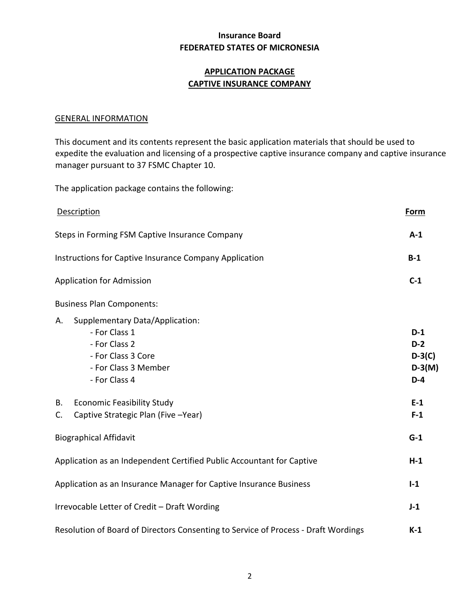# **APPLICATION PACKAGE CAPTIVE INSURANCE COMPANY**

#### GENERAL INFORMATION

This document and its contents represent the basic application materials that should be used to expedite the evaluation and licensing of a prospective captive insurance company and captive insurance manager pursuant to 37 FSMC Chapter 10.

The application package contains the following:

| Description                                                                                                                            | Form                                            |
|----------------------------------------------------------------------------------------------------------------------------------------|-------------------------------------------------|
| Steps in Forming FSM Captive Insurance Company                                                                                         | $A-1$                                           |
| Instructions for Captive Insurance Company Application                                                                                 | $B-1$                                           |
| <b>Application for Admission</b>                                                                                                       | $C-1$                                           |
| <b>Business Plan Components:</b>                                                                                                       |                                                 |
| Supplementary Data/Application:<br>А.<br>- For Class 1<br>- For Class 2<br>- For Class 3 Core<br>- For Class 3 Member<br>- For Class 4 | $D-1$<br>$D-2$<br>$D-3(C)$<br>$D-3(M)$<br>$D-4$ |
| <b>Economic Feasibility Study</b><br>В.<br>Captive Strategic Plan (Five -Year)<br>C.                                                   | $E-1$<br>$F-1$                                  |
| <b>Biographical Affidavit</b>                                                                                                          | $G-1$                                           |
| Application as an Independent Certified Public Accountant for Captive                                                                  | $H-1$                                           |
| Application as an Insurance Manager for Captive Insurance Business                                                                     | $I-1$                                           |
| Irrevocable Letter of Credit - Draft Wording                                                                                           | $J-1$                                           |
| Resolution of Board of Directors Consenting to Service of Process - Draft Wordings                                                     | $K-1$                                           |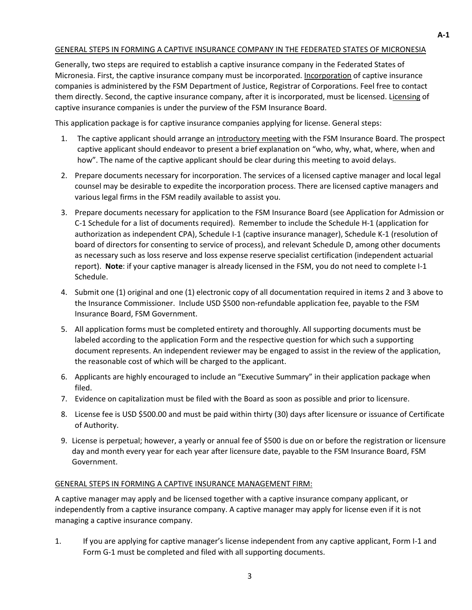#### GENERAL STEPS IN FORMING A CAPTIVE INSURANCE COMPANY IN THE FEDERATED STATES OF MICRONESIA

Generally, two steps are required to establish a captive insurance company in the Federated States of Micronesia. First, the captive insurance company must be incorporated. Incorporation of captive insurance companies is administered by the FSM Department of Justice, Registrar of Corporations. Feel free to contact them directly. Second, the captive insurance company, after it is incorporated, must be licensed. Licensing of captive insurance companies is under the purview of the FSM Insurance Board.

This application package is for captive insurance companies applying for license. General steps:

- 1. The captive applicant should arrange an introductory meeting with the FSM Insurance Board. The prospect captive applicant should endeavor to present a brief explanation on "who, why, what, where, when and how". The name of the captive applicant should be clear during this meeting to avoid delays.
- 2. Prepare documents necessary for incorporation. The services of a licensed captive manager and local legal counsel may be desirable to expedite the incorporation process. There are licensed captive managers and various legal firms in the FSM readily available to assist you.
- 3. Prepare documents necessary for application to the FSM Insurance Board (see Application for Admission or C-1 Schedule for a list of documents required). Remember to include the Schedule H-1 (application for authorization as independent CPA), Schedule I-1 (captive insurance manager), Schedule K-1 (resolution of board of directors for consenting to service of process), and relevant Schedule D, among other documents as necessary such as loss reserve and loss expense reserve specialist certification (independent actuarial report). **Note**: if your captive manager is already licensed in the FSM, you do not need to complete I-1 Schedule.
- 4. Submit one (1) original and one (1) electronic copy of all documentation required in items 2 and 3 above to the Insurance Commissioner. Include USD \$500 non-refundable application fee, payable to the FSM Insurance Board, FSM Government.
- 5. All application forms must be completed entirety and thoroughly. All supporting documents must be labeled according to the application Form and the respective question for which such a supporting document represents. An independent reviewer may be engaged to assist in the review of the application, the reasonable cost of which will be charged to the applicant.
- 6. Applicants are highly encouraged to include an "Executive Summary" in their application package when filed.
- 7. Evidence on capitalization must be filed with the Board as soon as possible and prior to licensure.
- 8. License fee is USD \$500.00 and must be paid within thirty (30) days after licensure or issuance of Certificate of Authority.
- 9. License is perpetual; however, a yearly or annual fee of \$500 is due on or before the registration or licensure day and month every year for each year after licensure date, payable to the FSM Insurance Board, FSM Government.

#### GENERAL STEPS IN FORMING A CAPTIVE INSURANCE MANAGEMENT FIRM:

A captive manager may apply and be licensed together with a captive insurance company applicant, or independently from a captive insurance company. A captive manager may apply for license even if it is not managing a captive insurance company.

1. If you are applying for captive manager's license independent from any captive applicant, Form I-1 and Form G-1 must be completed and filed with all supporting documents.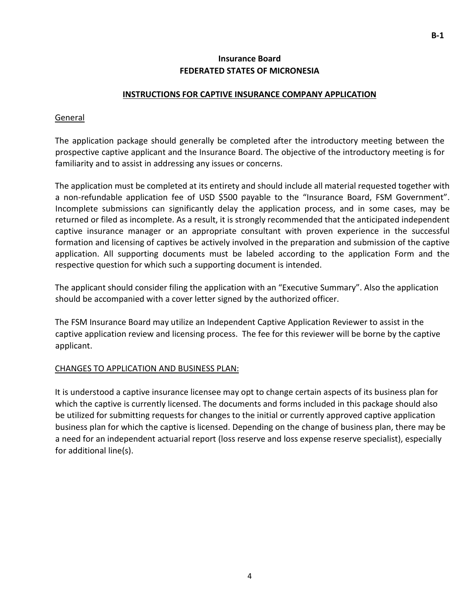### **INSTRUCTIONS FOR CAPTIVE INSURANCE COMPANY APPLICATION**

#### General

The application package should generally be completed after the introductory meeting between the prospective captive applicant and the Insurance Board. The objective of the introductory meeting is for familiarity and to assist in addressing any issues or concerns.

The application must be completed at its entirety and should include all material requested together with a non-refundable application fee of USD \$500 payable to the "Insurance Board, FSM Government". Incomplete submissions can significantly delay the application process, and in some cases, may be returned or filed as incomplete. As a result, it is strongly recommended that the anticipated independent captive insurance manager or an appropriate consultant with proven experience in the successful formation and licensing of captives be actively involved in the preparation and submission of the captive application. All supporting documents must be labeled according to the application Form and the respective question for which such a supporting document is intended.

The applicant should consider filing the application with an "Executive Summary". Also the application should be accompanied with a cover letter signed by the authorized officer.

The FSM Insurance Board may utilize an Independent Captive Application Reviewer to assist in the captive application review and licensing process. The fee for this reviewer will be borne by the captive applicant.

### CHANGES TO APPLICATION AND BUSINESS PLAN:

It is understood a captive insurance licensee may opt to change certain aspects of its business plan for which the captive is currently licensed. The documents and forms included in this package should also be utilized for submitting requests for changes to the initial or currently approved captive application business plan for which the captive is licensed. Depending on the change of business plan, there may be a need for an independent actuarial report (loss reserve and loss expense reserve specialist), especially for additional line(s).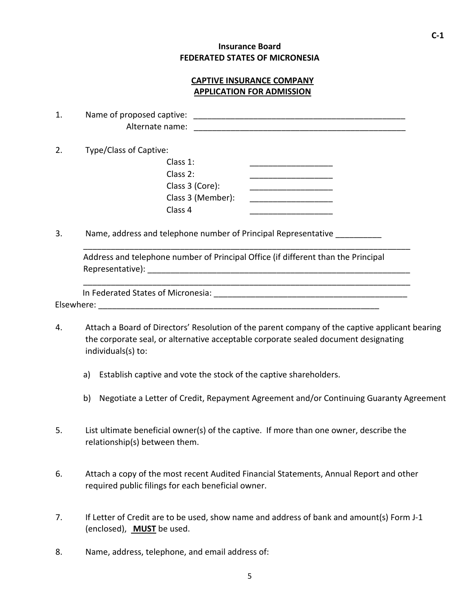# **CAPTIVE INSURANCE COMPANY APPLICATION FOR ADMISSION**

| 1. |                        |                                                                                   |
|----|------------------------|-----------------------------------------------------------------------------------|
| 2. | Type/Class of Captive: |                                                                                   |
|    | Class $1$ :            |                                                                                   |
|    | Class 2:               |                                                                                   |
|    | Class 3 (Core):        |                                                                                   |
|    | Class 3 (Member):      |                                                                                   |
|    | Class 4                | <u> 1989 - Johann Barbara, martin da kasar Amerikaansk politik (</u>              |
| 3. |                        | Name, address and telephone number of Principal Representative __________         |
|    |                        | Address and telephone number of Principal Office (if different than the Principal |
|    |                        |                                                                                   |
|    |                        |                                                                                   |
|    |                        |                                                                                   |
|    |                        |                                                                                   |

- 4. Attach a Board of Directors' Resolution of the parent company of the captive applicant bearing the corporate seal, or alternative acceptable corporate sealed document designating individuals(s) to:
	- a) Establish captive and vote the stock of the captive shareholders.
	- b) Negotiate a Letter of Credit, Repayment Agreement and/or Continuing Guaranty Agreement
- 5. List ultimate beneficial owner(s) of the captive. If more than one owner, describe the relationship(s) between them.
- 6. Attach a copy of the most recent Audited Financial Statements, Annual Report and other required public filings for each beneficial owner.
- 7. If Letter of Credit are to be used, show name and address of bank and amount(s) Form J-1 (enclosed), **MUST** be used.
- 8. Name, address, telephone, and email address of: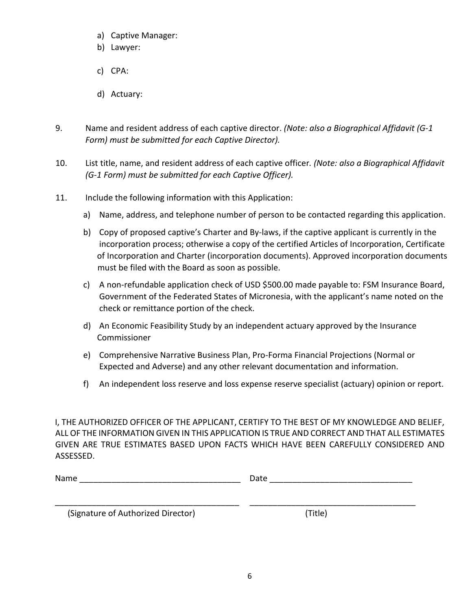- a) Captive Manager:
- b) Lawyer:
- c) CPA:
- d) Actuary:
- 9. Name and resident address of each captive director. *(Note: also a Biographical Affidavit (G-1 Form) must be submitted for each Captive Director).*
- 10. List title, name, and resident address of each captive officer*. (Note: also a Biographical Affidavit (G-1 Form) must be submitted for each Captive Officer).*
- 11. Include the following information with this Application:
	- a) Name, address, and telephone number of person to be contacted regarding this application.
	- b) Copy of proposed captive's Charter and By-laws, if the captive applicant is currently in the incorporation process; otherwise a copy of the certified Articles of Incorporation, Certificate of Incorporation and Charter (incorporation documents). Approved incorporation documents must be filed with the Board as soon as possible.
	- c) A non-refundable application check of USD \$500.00 made payable to: FSM Insurance Board, Government of the Federated States of Micronesia, with the applicant's name noted on the check or remittance portion of the check.
	- d) An Economic Feasibility Study by an independent actuary approved by the Insurance Commissioner
	- e) Comprehensive Narrative Business Plan, Pro-Forma Financial Projections (Normal or Expected and Adverse) and any other relevant documentation and information.
	- f) An independent loss reserve and loss expense reserve specialist (actuary) opinion or report.

I, THE AUTHORIZED OFFICER OF THE APPLICANT, CERTIFY TO THE BEST OF MY KNOWLEDGE AND BELIEF, ALL OF THE INFORMATION GIVEN IN THIS APPLICATION IS TRUE AND CORRECT AND THAT ALL ESTIMATES GIVEN ARE TRUE ESTIMATES BASED UPON FACTS WHICH HAVE BEEN CAREFULLY CONSIDERED AND ASSESSED.

| Name | ыю<br>pull |
|------|------------|
|      |            |

\_\_\_\_\_\_\_\_\_\_\_\_\_\_\_\_\_\_\_\_\_\_\_\_\_\_\_\_\_\_\_\_\_\_\_\_\_\_\_\_ \_\_\_\_\_\_\_\_\_\_\_\_\_\_\_\_\_\_\_\_\_\_\_\_\_\_\_\_\_\_\_\_\_\_\_\_

(Signature of Authorized Director) (Title)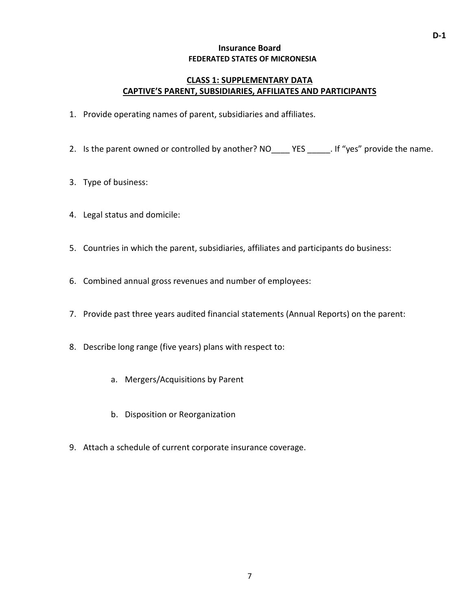# **CLASS 1: SUPPLEMENTARY DATA CAPTIVE'S PARENT, SUBSIDIARIES, AFFILIATES AND PARTICIPANTS**

- 1. Provide operating names of parent, subsidiaries and affiliates.
- 2. Is the parent owned or controlled by another? NO YES . If "yes" provide the name.
- 3. Type of business:
- 4. Legal status and domicile:
- 5. Countries in which the parent, subsidiaries, affiliates and participants do business:
- 6. Combined annual gross revenues and number of employees:
- 7. Provide past three years audited financial statements (Annual Reports) on the parent:
- 8. Describe long range (five years) plans with respect to:
	- a. Mergers/Acquisitions by Parent
	- b. Disposition or Reorganization
- 9. Attach a schedule of current corporate insurance coverage.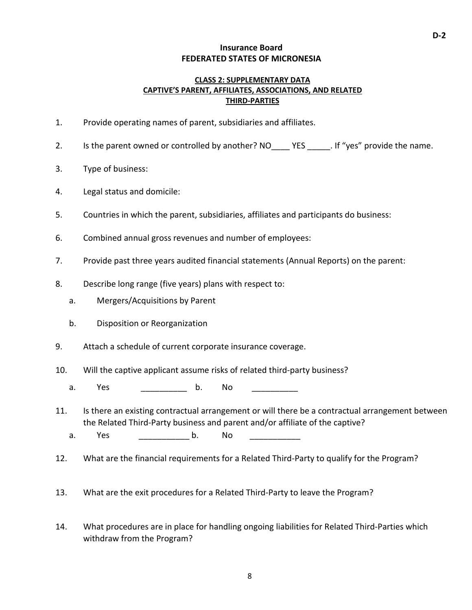### **CLASS 2: SUPPLEMENTARY DATA CAPTIVE'S PARENT, AFFILIATES, ASSOCIATIONS, AND RELATED THIRD-PARTIES**

- 1. Provide operating names of parent, subsidiaries and affiliates.
- 2. Is the parent owned or controlled by another? NO YES . If "yes" provide the name.
- 3. Type of business:
- 4. Legal status and domicile:
- 5. Countries in which the parent, subsidiaries, affiliates and participants do business:
- 6. Combined annual gross revenues and number of employees:
- 7. Provide past three years audited financial statements (Annual Reports) on the parent:
- 8. Describe long range (five years) plans with respect to:
	- a. Mergers/Acquisitions by Parent
	- b. Disposition or Reorganization
- 9. Attach a schedule of current corporate insurance coverage.
- 10. Will the captive applicant assume risks of related third-party business?
	- a. Yes b. No
- 11. Is there an existing contractual arrangement or will there be a contractual arrangement between the Related Third-Party business and parent and/or affiliate of the captive?
	- a. Yes b. No
- 12. What are the financial requirements for a Related Third-Party to qualify for the Program?
- 13. What are the exit procedures for a Related Third-Party to leave the Program?
- 14. What procedures are in place for handling ongoing liabilities for Related Third-Parties which withdraw from the Program?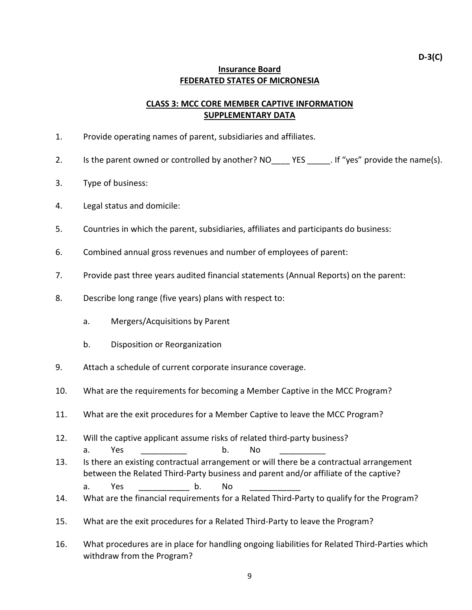# **CLASS 3: MCC CORE MEMBER CAPTIVE INFORMATION SUPPLEMENTARY DATA**

- 1. Provide operating names of parent, subsidiaries and affiliates.
- 2. Is the parent owned or controlled by another? NO YES . If "yes" provide the name(s).
- 3. Type of business:
- 4. Legal status and domicile:
- 5. Countries in which the parent, subsidiaries, affiliates and participants do business:
- 6. Combined annual gross revenues and number of employees of parent:
- 7. Provide past three years audited financial statements (Annual Reports) on the parent:
- 8. Describe long range (five years) plans with respect to:
	- a. Mergers/Acquisitions by Parent
	- b. Disposition or Reorganization
- 9. Attach a schedule of current corporate insurance coverage.
- 10. What are the requirements for becoming a Member Captive in the MCC Program?
- 11. What are the exit procedures for a Member Captive to leave the MCC Program?
- 12. Will the captive applicant assume risks of related third-party business? a. Yes \_\_\_\_\_\_\_\_\_\_\_ b. No \_\_\_\_\_\_\_\_\_\_\_
- 13. Is there an existing contractual arrangement or will there be a contractual arrangement between the Related Third-Party business and parent and/or affiliate of the captive? a. Yes b. No
- 14. What are the financial requirements for a Related Third-Party to qualify for the Program?
- 15. What are the exit procedures for a Related Third-Party to leave the Program?
- 16. What procedures are in place for handling ongoing liabilities for Related Third-Parties which withdraw from the Program?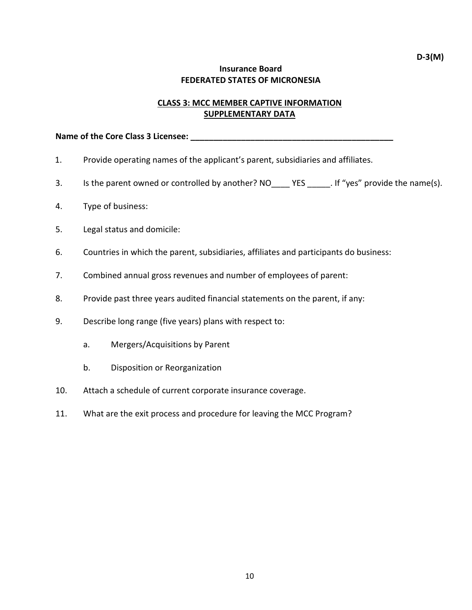# **CLASS 3: MCC MEMBER CAPTIVE INFORMATION SUPPLEMENTARY DATA**

#### Name of the Core Class 3 Licensee: **Name of the Core Class 3 Licensee:**

- 1. Provide operating names of the applicant's parent, subsidiaries and affiliates.
- 3. Is the parent owned or controlled by another? NO YES . If "yes" provide the name(s).
- 4. Type of business:
- 5. Legal status and domicile:
- 6. Countries in which the parent, subsidiaries, affiliates and participants do business:
- 7. Combined annual gross revenues and number of employees of parent:
- 8. Provide past three years audited financial statements on the parent, if any:
- 9. Describe long range (five years) plans with respect to:
	- a. Mergers/Acquisitions by Parent
	- b. Disposition or Reorganization
- 10. Attach a schedule of current corporate insurance coverage.
- 11. What are the exit process and procedure for leaving the MCC Program?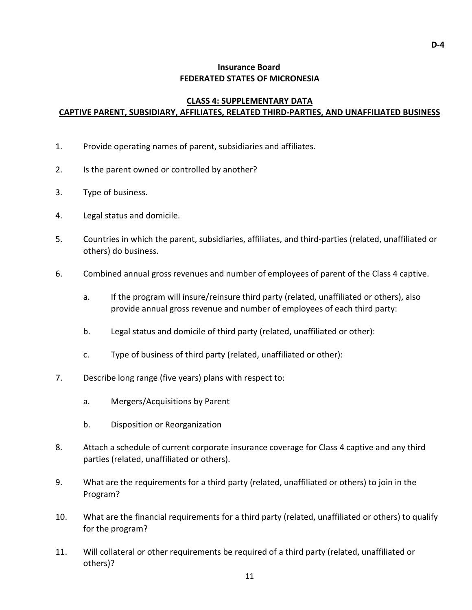# **CLASS 4: SUPPLEMENTARY DATA CAPTIVE PARENT, SUBSIDIARY, AFFILIATES, RELATED THIRD-PARTIES, AND UNAFFILIATED BUSINESS**

- 1. Provide operating names of parent, subsidiaries and affiliates.
- 2. Is the parent owned or controlled by another?
- 3. Type of business.
- 4. Legal status and domicile.
- 5. Countries in which the parent, subsidiaries, affiliates, and third-parties (related, unaffiliated or others) do business.
- 6. Combined annual gross revenues and number of employees of parent of the Class 4 captive.
	- a. If the program will insure/reinsure third party (related, unaffiliated or others), also provide annual gross revenue and number of employees of each third party:
	- b. Legal status and domicile of third party (related, unaffiliated or other):
	- c. Type of business of third party (related, unaffiliated or other):
- 7. Describe long range (five years) plans with respect to:
	- a. Mergers/Acquisitions by Parent
	- b. Disposition or Reorganization
- 8. Attach a schedule of current corporate insurance coverage for Class 4 captive and any third parties (related, unaffiliated or others).
- 9. What are the requirements for a third party (related, unaffiliated or others) to join in the Program?
- 10. What are the financial requirements for a third party (related, unaffiliated or others) to qualify for the program?
- 11. Will collateral or other requirements be required of a third party (related, unaffiliated or others)?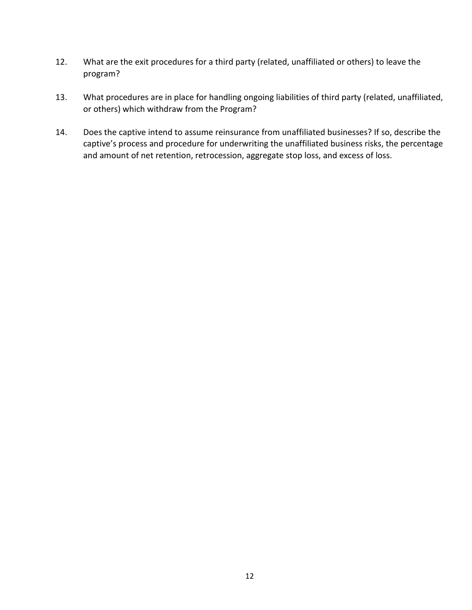- 12. What are the exit procedures for a third party (related, unaffiliated or others) to leave the program?
- 13. What procedures are in place for handling ongoing liabilities of third party (related, unaffiliated, or others) which withdraw from the Program?
- 14. Does the captive intend to assume reinsurance from unaffiliated businesses? If so, describe the captive's process and procedure for underwriting the unaffiliated business risks, the percentage and amount of net retention, retrocession, aggregate stop loss, and excess of loss.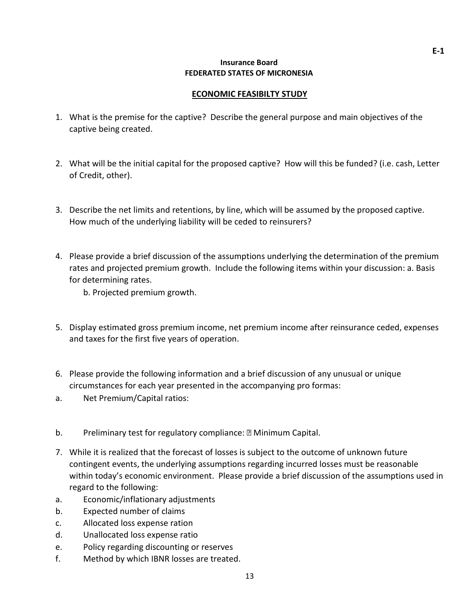### **ECONOMIC FEASIBILTY STUDY**

- 1. What is the premise for the captive? Describe the general purpose and main objectives of the captive being created.
- 2. What will be the initial capital for the proposed captive? How will this be funded? (i.e. cash, Letter of Credit, other).
- 3. Describe the net limits and retentions, by line, which will be assumed by the proposed captive. How much of the underlying liability will be ceded to reinsurers?
- 4. Please provide a brief discussion of the assumptions underlying the determination of the premium rates and projected premium growth. Include the following items within your discussion: a. Basis for determining rates.

b. Projected premium growth.

- 5. Display estimated gross premium income, net premium income after reinsurance ceded, expenses and taxes for the first five years of operation.
- 6. Please provide the following information and a brief discussion of any unusual or unique circumstances for each year presented in the accompanying pro formas:
- a. Net Premium/Capital ratios:
- b. Preliminary test for regulatory compliance: **Minimum Capital.**
- 7. While it is realized that the forecast of losses is subject to the outcome of unknown future contingent events, the underlying assumptions regarding incurred losses must be reasonable within today's economic environment. Please provide a brief discussion of the assumptions used in regard to the following:
- a. Economic/inflationary adjustments
- b. Expected number of claims
- c. Allocated loss expense ration
- d. Unallocated loss expense ratio
- e. Policy regarding discounting or reserves
- f. Method by which IBNR losses are treated.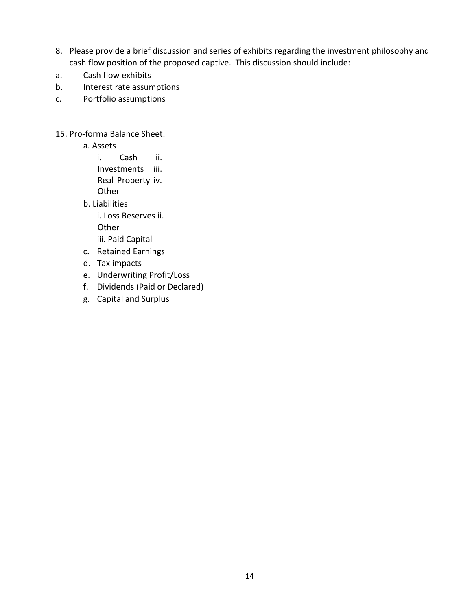- 8. Please provide a brief discussion and series of exhibits regarding the investment philosophy and cash flow position of the proposed captive. This discussion should include:
- a. Cash flow exhibits
- b. Interest rate assumptions
- c. Portfolio assumptions

15. Pro-forma Balance Sheet:

a. Assets

i. Cash ii. Investments iii. Real Property iv. **Other** 

b. Liabilities

i. Loss Reserves ii.

**Other** 

iii. Paid Capital

- c. Retained Earnings
- d. Tax impacts
- e. Underwriting Profit/Loss
- f. Dividends (Paid or Declared)
- g. Capital and Surplus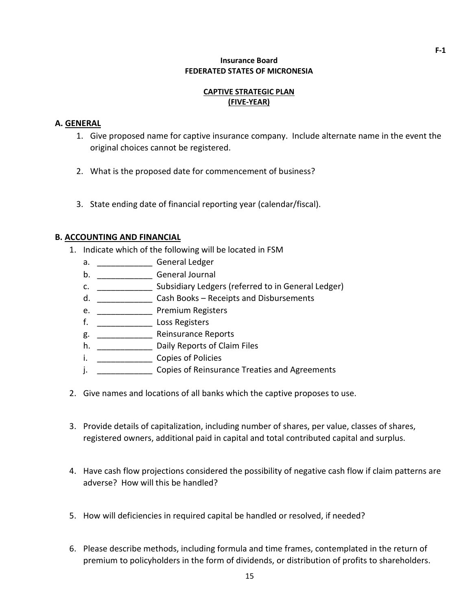### **CAPTIVE STRATEGIC PLAN (FIVE-YEAR)**

### **A. GENERAL**

- 1. Give proposed name for captive insurance company. Include alternate name in the event the original choices cannot be registered.
- 2. What is the proposed date for commencement of business?
- 3. State ending date of financial reporting year (calendar/fiscal).

## **B. ACCOUNTING AND FINANCIAL**

- 1. Indicate which of the following will be located in FSM
	- a. \_\_\_\_\_\_\_\_\_\_\_\_\_\_\_\_\_\_ General Ledger
	- b. \_\_\_\_\_\_\_\_\_\_\_\_\_\_\_\_\_\_ General Journal
	- c. \_\_\_\_\_\_\_\_\_\_\_\_ Subsidiary Ledgers (referred to in General Ledger)
	- d. \_\_\_\_\_\_\_\_\_\_\_\_ Cash Books Receipts and Disbursements
	- e. \_\_\_\_\_\_\_\_\_\_\_\_\_\_ Premium Registers
	- f. \_\_\_\_\_\_\_\_\_\_\_\_ Loss Registers
	- g. \_\_\_\_\_\_\_\_\_\_\_\_\_\_\_\_\_ Reinsurance Reports
	- h. \_\_\_\_\_\_\_\_\_\_\_\_\_\_\_\_\_\_ Daily Reports of Claim Files
	- i. \_\_\_\_\_\_\_\_\_\_\_\_ Copies of Policies
	- j. **Example 20 Copies of Reinsurance Treaties and Agreements**
- 2. Give names and locations of all banks which the captive proposes to use.
- 3. Provide details of capitalization, including number of shares, per value, classes of shares, registered owners, additional paid in capital and total contributed capital and surplus.
- 4. Have cash flow projections considered the possibility of negative cash flow if claim patterns are adverse? How will this be handled?
- 5. How will deficiencies in required capital be handled or resolved, if needed?
- 6. Please describe methods, including formula and time frames, contemplated in the return of premium to policyholders in the form of dividends, or distribution of profits to shareholders.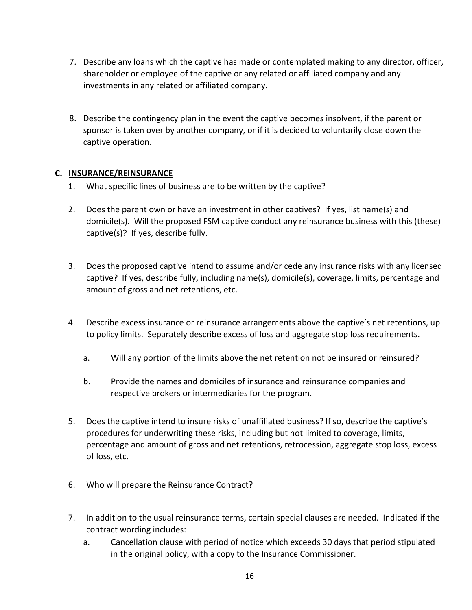- 7. Describe any loans which the captive has made or contemplated making to any director, officer, shareholder or employee of the captive or any related or affiliated company and any investments in any related or affiliated company.
- 8. Describe the contingency plan in the event the captive becomes insolvent, if the parent or sponsor is taken over by another company, or if it is decided to voluntarily close down the captive operation.

# **C. INSURANCE/REINSURANCE**

- 1. What specific lines of business are to be written by the captive?
- 2. Does the parent own or have an investment in other captives? If yes, list name(s) and domicile(s). Will the proposed FSM captive conduct any reinsurance business with this (these) captive(s)? If yes, describe fully.
- 3. Does the proposed captive intend to assume and/or cede any insurance risks with any licensed captive? If yes, describe fully, including name(s), domicile(s), coverage, limits, percentage and amount of gross and net retentions, etc.
- 4. Describe excess insurance or reinsurance arrangements above the captive's net retentions, up to policy limits. Separately describe excess of loss and aggregate stop loss requirements.
	- a. Will any portion of the limits above the net retention not be insured or reinsured?
	- b. Provide the names and domiciles of insurance and reinsurance companies and respective brokers or intermediaries for the program.
- 5. Does the captive intend to insure risks of unaffiliated business? If so, describe the captive's procedures for underwriting these risks, including but not limited to coverage, limits, percentage and amount of gross and net retentions, retrocession, aggregate stop loss, excess of loss, etc.
- 6. Who will prepare the Reinsurance Contract?
- 7. In addition to the usual reinsurance terms, certain special clauses are needed. Indicated if the contract wording includes:
	- a. Cancellation clause with period of notice which exceeds 30 days that period stipulated in the original policy, with a copy to the Insurance Commissioner.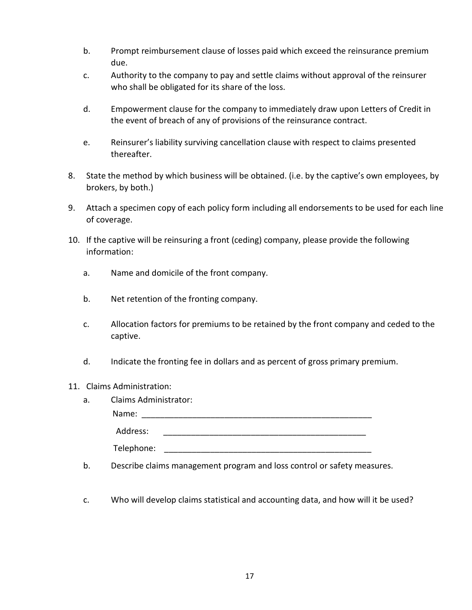- b. Prompt reimbursement clause of losses paid which exceed the reinsurance premium due.
- c. Authority to the company to pay and settle claims without approval of the reinsurer who shall be obligated for its share of the loss.
- d. Empowerment clause for the company to immediately draw upon Letters of Credit in the event of breach of any of provisions of the reinsurance contract.
- e. Reinsurer's liability surviving cancellation clause with respect to claims presented thereafter.
- 8. State the method by which business will be obtained. (i.e. by the captive's own employees, by brokers, by both.)
- 9. Attach a specimen copy of each policy form including all endorsements to be used for each line of coverage.
- 10. If the captive will be reinsuring a front (ceding) company, please provide the following information:
	- a. Name and domicile of the front company.
	- b. Net retention of the fronting company.
	- c. Allocation factors for premiums to be retained by the front company and ceded to the captive.
	- d. Indicate the fronting fee in dollars and as percent of gross primary premium.
- 11. Claims Administration:

| a. | <b>Claims Administrator:</b> |  |  |
|----|------------------------------|--|--|
|    | Name:                        |  |  |
|    | Address:                     |  |  |
|    | Telephone:                   |  |  |

- b. Describe claims management program and loss control or safety measures.
- c. Who will develop claims statistical and accounting data, and how will it be used?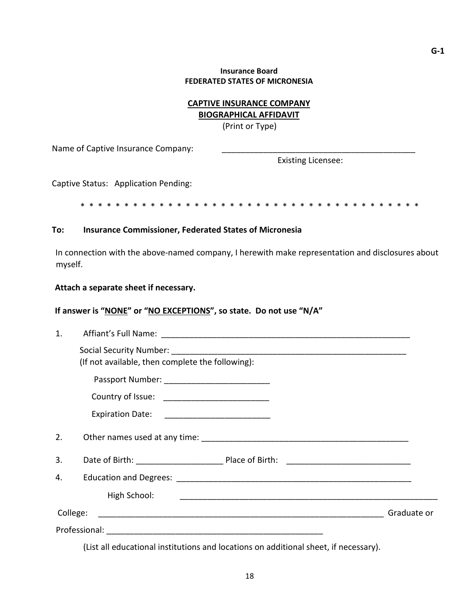## **CAPTIVE INSURANCE COMPANY BIOGRAPHICAL AFFIDAVIT**

(Print or Type)

Name of Captive Insurance Company:

Existing Licensee:

Captive Status: Application Pending:

\* \* \* \* \* \* \* \* \* \* \* \* \* \* \* \* \* \* \* \* \* \* \* \* \* \* \* \* \* \* \* \* \* \* \* \* \* \* \*

#### **To: Insurance Commissioner, Federated States of Micronesia**

In connection with the above-named company, I herewith make representation and disclosures about myself.

#### **Attach a separate sheet if necessary.**

## If answer is "NONE" or "NO EXCEPTIONS", so state. Do not use "N/A"

| (If not available, then complete the following): |  |
|--------------------------------------------------|--|
|                                                  |  |
|                                                  |  |
|                                                  |  |
|                                                  |  |
|                                                  |  |
| 2.                                               |  |
| 3.                                               |  |
| 4.                                               |  |
| High School:                                     |  |
| College:<br>Graduate or                          |  |
|                                                  |  |

(List all educational institutions and locations on additional sheet, if necessary).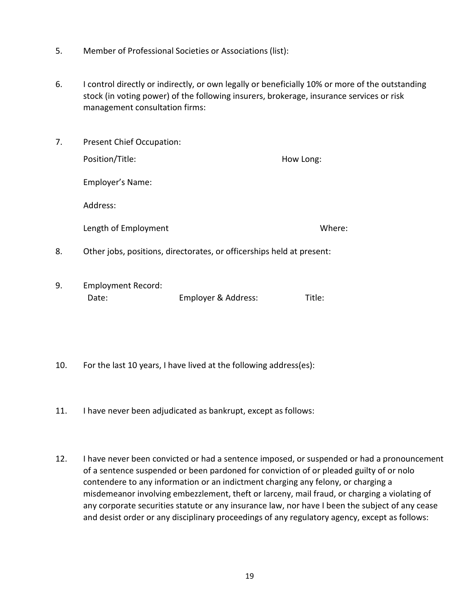- 5. Member of Professional Societies or Associations (list):
- 6. I control directly or indirectly, or own legally or beneficially 10% or more of the outstanding stock (in voting power) of the following insurers, brokerage, insurance services or risk management consultation firms:

| 7. | <b>Present Chief Occupation:</b>                                      |           |
|----|-----------------------------------------------------------------------|-----------|
|    | Position/Title:                                                       | How Long: |
|    | Employer's Name:                                                      |           |
|    | Address:                                                              |           |
|    | Length of Employment                                                  | Where:    |
| 8. | Other jobs, positions, directorates, or officerships held at present: |           |
|    |                                                                       |           |

- 9. Employment Record: Date: Employer & Address: Title:
- 10. For the last 10 years, I have lived at the following address(es):
- 11. I have never been adjudicated as bankrupt, except as follows:
- 12. I have never been convicted or had a sentence imposed, or suspended or had a pronouncement of a sentence suspended or been pardoned for conviction of or pleaded guilty of or nolo contendere to any information or an indictment charging any felony, or charging a misdemeanor involving embezzlement, theft or larceny, mail fraud, or charging a violating of any corporate securities statute or any insurance law, nor have I been the subject of any cease and desist order or any disciplinary proceedings of any regulatory agency, except as follows: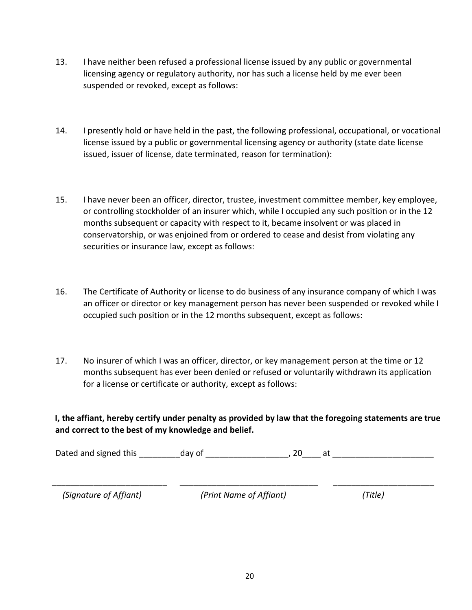- 13. I have neither been refused a professional license issued by any public or governmental licensing agency or regulatory authority, nor has such a license held by me ever been suspended or revoked, except as follows:
- 14. I presently hold or have held in the past, the following professional, occupational, or vocational license issued by a public or governmental licensing agency or authority (state date license issued, issuer of license, date terminated, reason for termination):
- 15. I have never been an officer, director, trustee, investment committee member, key employee, or controlling stockholder of an insurer which, while I occupied any such position or in the 12 months subsequent or capacity with respect to it, became insolvent or was placed in conservatorship, or was enjoined from or ordered to cease and desist from violating any securities or insurance law, except as follows:
- 16. The Certificate of Authority or license to do business of any insurance company of which I was an officer or director or key management person has never been suspended or revoked while I occupied such position or in the 12 months subsequent, except as follows:
- 17. No insurer of which I was an officer, director, or key management person at the time or 12 months subsequent has ever been denied or refused or voluntarily withdrawn its application for a license or certificate or authority, except as follows:

**I, the affiant, hereby certify under penalty as provided by law that the foregoing statements are true and correct to the best of my knowledge and belief.** 

Dated and signed this equal only of the case of the case of the case of the case of the case of the case of the c

\_\_\_\_\_\_\_\_\_\_\_\_\_\_\_\_\_\_\_\_\_\_\_\_\_ \_\_\_\_\_\_\_\_\_\_\_\_\_\_\_\_\_\_\_\_\_\_\_\_\_\_\_\_\_\_ \_\_\_\_\_\_\_\_\_\_\_\_\_\_\_\_\_\_\_\_\_\_  *(Signature of Affiant) (Print Name of Affiant) (Title)*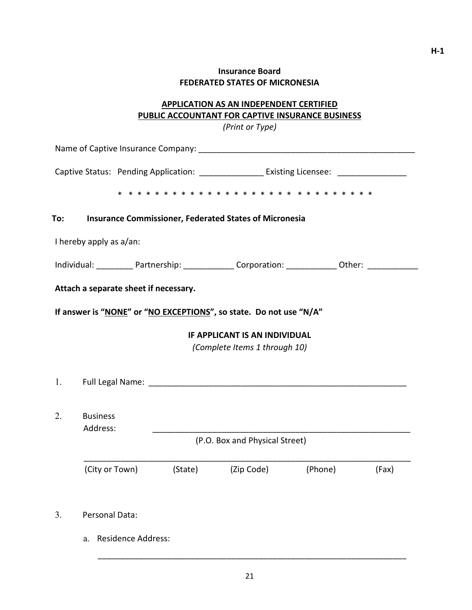# **APPLICATION AS AN INDEPENDENT CERTIFIED PUBLIC ACCOUNTANT FOR CAPTIVE INSURANCE BUSINESS**

*(Print or Type)* 

|                                   | Captive Status: Pending Application: _____________________ Existing Licensee: _____________________       |         |                                                                       |         |       |
|-----------------------------------|-----------------------------------------------------------------------------------------------------------|---------|-----------------------------------------------------------------------|---------|-------|
|                                   |                                                                                                           |         |                                                                       |         |       |
| To:                               | <b>Insurance Commissioner, Federated States of Micronesia</b>                                             |         |                                                                       |         |       |
| I hereby apply as a/an:           |                                                                                                           |         |                                                                       |         |       |
|                                   | Individual: ____________Partnership: _________________Corporation: ______________ Other: ________________ |         |                                                                       |         |       |
|                                   | Attach a separate sheet if necessary.                                                                     |         |                                                                       |         |       |
|                                   | If answer is "NONE" or "NO EXCEPTIONS", so state. Do not use "N/A"                                        |         |                                                                       |         |       |
|                                   |                                                                                                           |         | <b>IF APPLICANT IS AN INDIVIDUAL</b><br>(Complete Items 1 through 10) |         |       |
|                                   |                                                                                                           |         |                                                                       |         |       |
| 2.<br><b>Business</b><br>Address: |                                                                                                           |         |                                                                       |         |       |
|                                   |                                                                                                           |         | (P.O. Box and Physical Street)                                        |         |       |
|                                   | (City or Town)                                                                                            | (State) | (Zip Code)                                                            | (Phone) | (Fax) |
| 3.                                | Personal Data:                                                                                            |         |                                                                       |         |       |
| a.                                | <b>Residence Address:</b>                                                                                 |         |                                                                       |         |       |

\_\_\_\_\_\_\_\_\_\_\_\_\_\_\_\_\_\_\_\_\_\_\_\_\_\_\_\_\_\_\_\_\_\_\_\_\_\_\_\_\_\_\_\_\_\_\_\_\_\_\_\_\_\_\_\_\_\_\_\_\_\_\_\_\_\_\_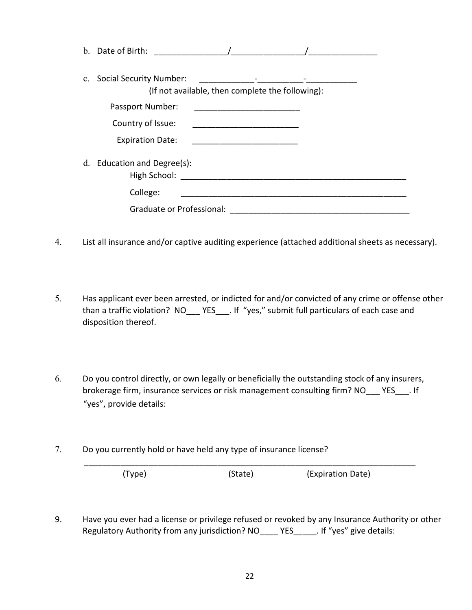| $\mathbf{b}$ . | Date of Birth:                                                                 |
|----------------|--------------------------------------------------------------------------------|
|                | c. Social Security Number:<br>(If not available, then complete the following): |
|                | Passport Number:                                                               |
|                | Country of Issue:                                                              |
|                | <b>Expiration Date:</b><br><u> 1980 - Jan Barbara, martin a</u>                |
|                | d. Education and Degree(s):<br>High School:                                    |
|                | College:                                                                       |
|                | Graduate or Professional:                                                      |

- 4. List all insurance and/or captive auditing experience (attached additional sheets as necessary).
- 5. Has applicant ever been arrested, or indicted for and/or convicted of any crime or offense other than a traffic violation? NO YES . If "yes," submit full particulars of each case and disposition thereof.
- 6. Do you control directly, or own legally or beneficially the outstanding stock of any insurers, brokerage firm, insurance services or risk management consulting firm? NO YES . If "yes", provide details:
- 7. Do you currently hold or have held any type of insurance license?

(Type) (State) (Expiration Date)

9. Have you ever had a license or privilege refused or revoked by any Insurance Authority or other Regulatory Authority from any jurisdiction? NO\_\_\_\_ YES\_\_\_\_\_. If "yes" give details:

\_\_\_\_\_\_\_\_\_\_\_\_\_\_\_\_\_\_\_\_\_\_\_\_\_\_\_\_\_\_\_\_\_\_\_\_\_\_\_\_\_\_\_\_\_\_\_\_\_\_\_\_\_\_\_\_\_\_\_\_\_\_\_\_\_\_\_\_\_\_\_\_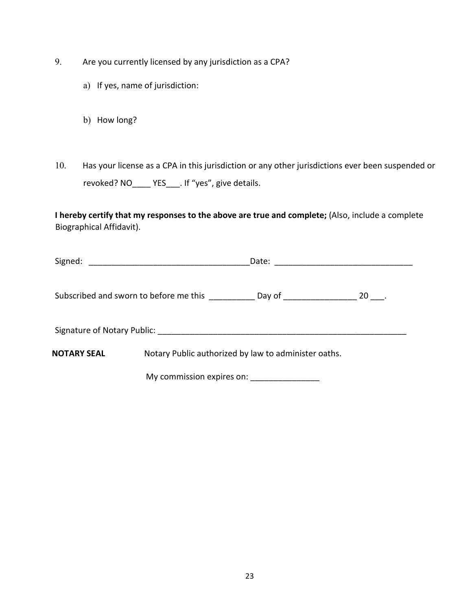- 9. Are you currently licensed by any jurisdiction as a CPA?
	- a) If yes, name of jurisdiction:
	- b) How long?
- 10. Has your license as a CPA in this jurisdiction or any other jurisdictions ever been suspended or revoked? NO\_\_\_\_ YES\_\_\_. If "yes", give details.

**I hereby certify that my responses to the above are true and complete;** (Also, include a complete Biographical Affidavit).

| Signed:     | <u> 2000 - 2000 - 2000 - 2000 - 2000 - 2000 - 2000 - 2000 - 2000 - 2000 - 2000 - 2000 - 2000 - 2000 - 2000 - 200</u> | Date:                                                |           |
|-------------|----------------------------------------------------------------------------------------------------------------------|------------------------------------------------------|-----------|
|             | Subscribed and sworn to before me this ____________ Day of ________________                                          |                                                      | $20$ ___. |
|             |                                                                                                                      |                                                      |           |
| NOTARY SEAL |                                                                                                                      | Notary Public authorized by law to administer oaths. |           |
|             | My commission expires on:                                                                                            |                                                      |           |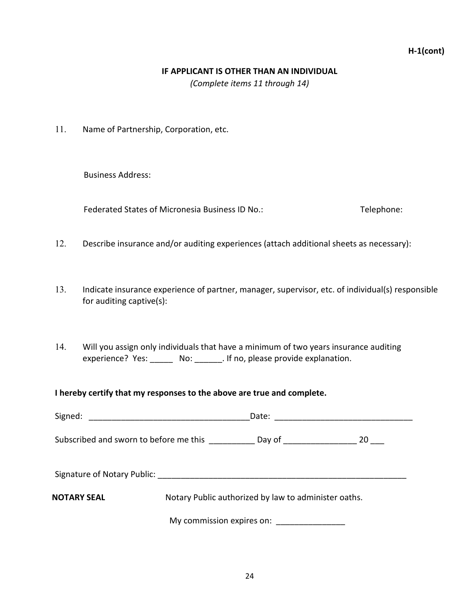# **H-1(cont)**

#### **IF APPLICANT IS OTHER THAN AN INDIVIDUAL**

*(Complete items 11 through 14)* 

11. Name of Partnership, Corporation, etc.

Business Address:

Federated States of Micronesia Business ID No.: Telephone:

- 12. Describe insurance and/or auditing experiences (attach additional sheets as necessary):
- 13. Indicate insurance experience of partner, manager, supervisor, etc. of individual(s) responsible for auditing captive(s):
- 14. Will you assign only individuals that have a minimum of two years insurance auditing experience? Yes: \_\_\_\_\_\_ No: \_\_\_\_\_\_\_. If no, please provide explanation.

**I hereby certify that my responses to the above are true and complete.** 

| Signed:<br><u> 1989 - Johann John Stein, mars an deutscher Stein († 1958)</u> |                                                      | Date: ____________________________ |
|-------------------------------------------------------------------------------|------------------------------------------------------|------------------------------------|
| Subscribed and sworn to before me this                                        | Day of _____________________                         | -20                                |
|                                                                               |                                                      |                                    |
| <b>NOTARY SEAL</b>                                                            | Notary Public authorized by law to administer oaths. |                                    |
|                                                                               | My commission expires on: _________________          |                                    |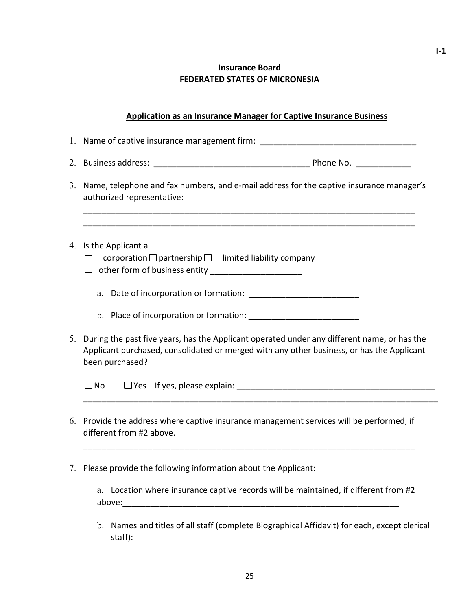## **Application as an Insurance Manager for Captive Insurance Business**

1. Name of captive insurance management firm: \_\_\_\_\_\_\_\_\_\_\_\_\_\_\_\_\_\_\_\_\_\_\_\_\_\_\_\_\_\_\_\_\_\_ 2. Business address: \_\_\_\_\_\_\_\_\_\_\_\_\_\_\_\_\_\_\_\_\_\_\_\_\_\_\_\_\_\_\_\_\_\_ Phone No. \_\_\_\_\_\_\_\_\_\_\_\_ 3. Name, telephone and fax numbers, and e-mail address for the captive insurance manager's authorized representative: \_\_\_\_\_\_\_\_\_\_\_\_\_\_\_\_\_\_\_\_\_\_\_\_\_\_\_\_\_\_\_\_\_\_\_\_\_\_\_\_\_\_\_\_\_\_\_\_\_\_\_\_\_\_\_\_\_\_\_\_\_\_\_\_\_\_\_\_\_\_\_\_ \_\_\_\_\_\_\_\_\_\_\_\_\_\_\_\_\_\_\_\_\_\_\_\_\_\_\_\_\_\_\_\_\_\_\_\_\_\_\_\_\_\_\_\_\_\_\_\_\_\_\_\_\_\_\_\_\_\_\_\_\_\_\_\_\_\_\_\_\_\_\_\_ 4. Is the Applicant a  $\Box$  corporation  $\Box$  partnership  $\Box$  limited liability company other form of business entity \_\_\_\_\_\_\_\_\_\_\_\_\_\_\_\_\_\_\_\_ a. Date of incorporation or formation: b. Place of incorporation or formation: 5. During the past five years, has the Applicant operated under any different name, or has the Applicant purchased, consolidated or merged with any other business, or has the Applicant been purchased?  $\square$  No  $\square$  Yes If yes, please explain: \_\_\_\_\_\_\_\_\_\_\_\_\_\_\_\_\_\_\_\_\_\_\_\_\_\_\_\_\_\_\_\_\_\_\_\_\_\_\_\_\_\_\_\_\_\_\_\_\_\_\_\_\_\_\_\_\_\_\_\_\_\_\_\_\_\_\_\_\_\_\_\_\_\_\_\_\_ 6. Provide the address where captive insurance management services will be performed, if different from #2 above. \_\_\_\_\_\_\_\_\_\_\_\_\_\_\_\_\_\_\_\_\_\_\_\_\_\_\_\_\_\_\_\_\_\_\_\_\_\_\_\_\_\_\_\_\_\_\_\_\_\_\_\_\_\_\_\_\_\_\_\_\_\_\_\_\_\_\_\_\_\_\_\_

7. Please provide the following information about the Applicant:

a. Location where insurance captive records will be maintained, if different from #2 above:\_\_\_\_\_\_\_\_\_\_\_\_\_\_\_\_\_\_\_\_\_\_\_\_\_\_\_\_\_\_\_\_\_\_\_\_\_\_\_\_\_\_\_\_\_\_\_\_\_\_\_\_\_\_\_\_\_\_\_\_

b. Names and titles of all staff (complete Biographical Affidavit) for each, except clerical staff):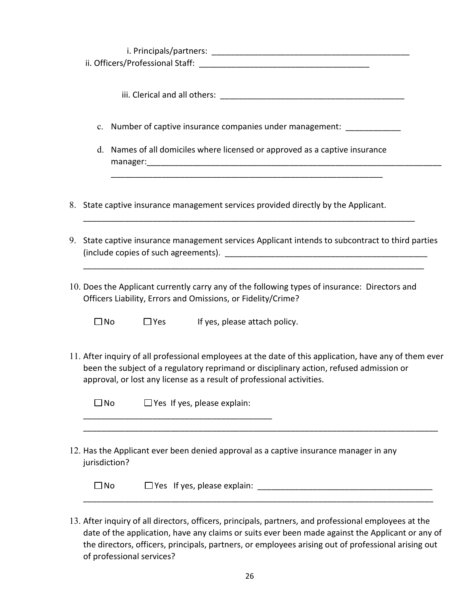| c.            |  | Number of captive insurance companies under management:                                                                                                                                                                                                                    |  |  |
|---------------|--|----------------------------------------------------------------------------------------------------------------------------------------------------------------------------------------------------------------------------------------------------------------------------|--|--|
|               |  | d. Names of all domiciles where licensed or approved as a captive insurance                                                                                                                                                                                                |  |  |
|               |  | 8. State captive insurance management services provided directly by the Applicant.                                                                                                                                                                                         |  |  |
|               |  | 9. State captive insurance management services Applicant intends to subcontract to third parties                                                                                                                                                                           |  |  |
|               |  | 10. Does the Applicant currently carry any of the following types of insurance: Directors and<br>Officers Liability, Errors and Omissions, or Fidelity/Crime?                                                                                                              |  |  |
| $\square$ No  |  | $\Box$ Yes If yes, please attach policy.                                                                                                                                                                                                                                   |  |  |
|               |  | 11. After inquiry of all professional employees at the date of this application, have any of them ever<br>been the subject of a regulatory reprimand or disciplinary action, refused admission or<br>approval, or lost any license as a result of professional activities. |  |  |
| $\square$ No  |  | $\Box$ Yes If yes, please explain:                                                                                                                                                                                                                                         |  |  |
| jurisdiction? |  | 12. Has the Applicant ever been denied approval as a captive insurance manager in any                                                                                                                                                                                      |  |  |
| □No           |  | $\Box$ Yes If yes, please explain:                                                                                                                                                                                                                                         |  |  |

13. After inquiry of all directors, officers, principals, partners, and professional employees at the date of the application, have any claims or suits ever been made against the Applicant or any of the directors, officers, principals, partners, or employees arising out of professional arising out of professional services?

\_\_\_\_\_\_\_\_\_\_\_\_\_\_\_\_\_\_\_\_\_\_\_\_\_\_\_\_\_\_\_\_\_\_\_\_\_\_\_\_\_\_\_\_\_\_\_\_\_\_\_\_\_\_\_\_\_\_\_\_\_\_\_\_\_\_\_\_\_\_\_\_\_\_\_\_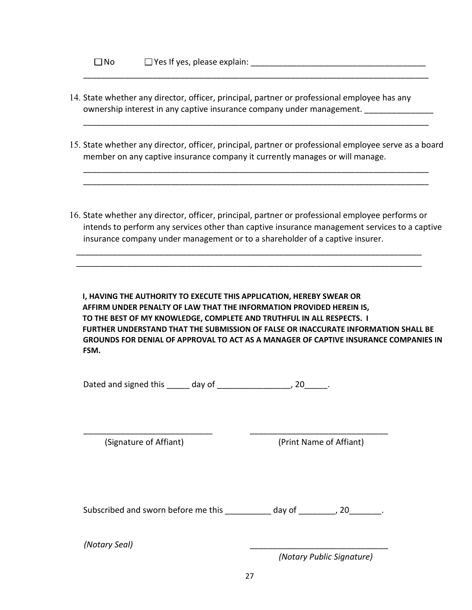| $\square$ No | $\Box$ Yes If yes, please explain: |
|--------------|------------------------------------|
|              |                                    |

- 14. State whether any director, officer, principal, partner or professional employee has any ownership interest in any captive insurance company under management.
- 15. State whether any director, officer, principal, partner or professional employee serve as a board member on any captive insurance company it currently manages or will manage.

\_\_\_\_\_\_\_\_\_\_\_\_\_\_\_\_\_\_\_\_\_\_\_\_\_\_\_\_\_\_\_\_\_\_\_\_\_\_\_\_\_\_\_\_\_\_\_\_\_\_\_\_\_\_\_\_\_\_\_\_\_\_\_\_\_\_\_\_\_\_\_\_\_\_\_ \_\_\_\_\_\_\_\_\_\_\_\_\_\_\_\_\_\_\_\_\_\_\_\_\_\_\_\_\_\_\_\_\_\_\_\_\_\_\_\_\_\_\_\_\_\_\_\_\_\_\_\_\_\_\_\_\_\_\_\_\_\_\_\_\_\_\_\_\_\_\_\_\_\_\_

\_\_\_\_\_\_\_\_\_\_\_\_\_\_\_\_\_\_\_\_\_\_\_\_\_\_\_\_\_\_\_\_\_\_\_\_\_\_\_\_\_\_\_\_\_\_\_\_\_\_\_\_\_\_\_\_\_\_\_\_\_\_\_\_\_\_\_\_\_\_\_\_\_\_\_

\_\_\_\_\_\_\_\_\_\_\_\_\_\_\_\_\_\_\_\_\_\_\_\_\_\_\_\_\_\_\_\_\_\_\_\_\_\_\_\_\_\_\_\_\_\_\_\_\_\_\_\_\_\_\_\_\_\_\_\_\_\_\_\_\_\_\_\_\_\_\_\_\_\_\_

16. State whether any director, officer, principal, partner or professional employee performs or intends to perform any services other than captive insurance management services to a captive insurance company under management or to a shareholder of a captive insurer.

\_\_\_\_\_\_\_\_\_\_\_\_\_\_\_\_\_\_\_\_\_\_\_\_\_\_\_\_\_\_\_\_\_\_\_\_\_\_\_\_\_\_\_\_\_\_\_\_\_\_\_\_\_\_\_\_\_\_\_\_\_\_\_\_\_\_\_\_\_\_\_\_\_\_\_ \_\_\_\_\_\_\_\_\_\_\_\_\_\_\_\_\_\_\_\_\_\_\_\_\_\_\_\_\_\_\_\_\_\_\_\_\_\_\_\_\_\_\_\_\_\_\_\_\_\_\_\_\_\_\_\_\_\_\_\_\_\_\_\_\_\_\_\_\_\_\_\_\_\_\_

**I, HAVING THE AUTHORITY TO EXECUTE THIS APPLICATION, HEREBY SWEAR OR AFFIRM UNDER PENALTY OF LAW THAT THE INFORMATION PROVIDED HEREIN IS, TO THE BEST OF MY KNOWLEDGE, COMPLETE AND TRUTHFUL IN ALL RESPECTS. I FURTHER UNDERSTAND THAT THE SUBMISSION OF FALSE OR INACCURATE INFORMATION SHALL BE GROUNDS FOR DENIAL OF APPROVAL TO ACT AS A MANAGER OF CAPTIVE INSURANCE COMPANIES IN FSM.** 

| Dated and signed this | day of |  |
|-----------------------|--------|--|
|                       |        |  |

(Signature of Affiant) (Print Name of Affiant)

Subscribed and sworn before me this day of the set of the set of the subscribed and sworn before me this

\_\_\_\_\_\_\_\_\_\_\_\_\_\_\_\_\_\_\_\_\_\_\_\_\_\_\_\_ \_\_\_\_\_\_\_\_\_\_\_\_\_\_\_\_\_\_\_\_\_\_\_\_\_\_\_\_\_\_

*(Notary Seal)* \_\_\_\_\_\_\_\_\_\_\_\_\_\_\_\_\_\_\_\_\_\_\_\_\_\_\_\_\_\_

*(Notary Public Signature)*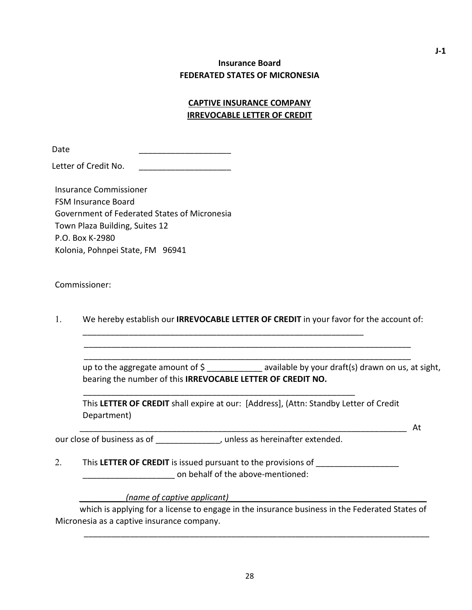# **CAPTIVE INSURANCE COMPANY IRREVOCABLE LETTER OF CREDIT**

Date \_\_\_\_\_\_\_\_\_\_\_\_\_\_\_\_\_\_\_\_

Letter of Credit No.

Insurance Commissioner FSM Insurance Board Government of Federated States of Micronesia Town Plaza Building, Suites 12 P.O. Box K-2980 Kolonia, Pohnpei State, FM 96941

Commissioner:

1. We hereby establish our **IRREVOCABLE LETTER OF CREDIT** in your favor for the account of:

\_\_\_\_\_\_\_\_\_\_\_\_\_\_\_\_\_\_\_\_\_\_\_\_\_\_\_\_\_\_\_\_\_\_\_\_\_\_\_\_\_\_\_\_\_\_\_\_\_\_\_\_\_\_\_\_\_\_\_\_\_\_\_\_\_\_\_\_\_\_\_ \_\_\_\_\_\_\_\_\_\_\_\_\_\_\_\_\_\_\_\_\_\_\_\_\_\_\_\_\_\_\_\_\_\_\_\_\_\_\_\_\_\_\_\_\_\_\_\_\_\_\_\_\_\_\_\_\_\_\_\_\_\_\_\_\_\_\_\_\_\_\_

\_\_\_\_\_\_\_\_\_\_\_\_\_\_\_\_\_\_\_\_\_\_\_\_\_\_\_\_\_\_\_\_\_\_\_\_\_\_\_\_\_\_\_\_\_\_\_\_\_\_\_\_\_\_\_\_\_\_\_\_\_

\_\_\_\_\_\_\_\_\_\_\_\_\_\_\_\_\_\_\_\_\_\_\_\_\_\_\_\_\_\_\_\_\_\_\_\_\_\_\_\_\_\_\_\_\_\_\_\_\_\_\_\_\_\_\_\_\_\_\_

up to the aggregate amount of \$ \_\_\_\_\_\_\_\_\_\_\_\_ available by your draft(s) drawn on us, at sight, bearing the number of this **IRREVOCABLE LETTER OF CREDIT NO.**

This **LETTER OF CREDIT** shall expire at our: [Address], (Attn: Standby Letter of Credit Department)

our close of business as of  $\overline{\phantom{a}}$ , unless as hereinafter extended.

2. This LETTER OF CREDIT is issued pursuant to the provisions of \_\_\_\_\_\_\_\_\_\_\_\_\_\_\_\_ on behalf of the above-mentioned:

*\_\_\_\_\_\_\_\_\_\_(name of captive applicant)\_\_\_\_\_\_\_\_\_\_\_\_\_\_\_\_\_\_\_\_\_\_\_\_\_\_\_\_\_\_\_\_\_\_\_\_\_\_\_\_\_\_\_*

which is applying for a license to engage in the insurance business in the Federated States of Micronesia as a captive insurance company.

\_\_\_\_\_\_\_\_\_\_\_\_\_\_\_\_\_\_\_\_\_\_\_\_\_\_\_\_\_\_\_\_\_\_\_\_\_\_\_\_\_\_\_\_\_\_\_\_\_\_\_\_\_\_\_\_\_\_\_\_\_\_\_\_\_\_\_\_\_\_\_ At

\_\_\_\_\_\_\_\_\_\_\_\_\_\_\_\_\_\_\_\_\_\_\_\_\_\_\_\_\_\_\_\_\_\_\_\_\_\_\_\_\_\_\_\_\_\_\_\_\_\_\_\_\_\_\_\_\_\_\_\_\_\_\_\_\_\_\_\_\_\_\_\_\_\_\_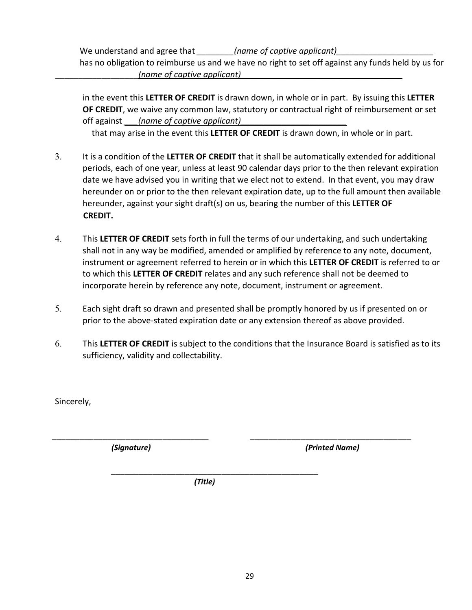We understand and agree that *\_\_\_\_\_\_\_\_\_\_(name of captive applicant)* has no obligation to reimburse us and we have no right to set off against any funds held by us for \_\_\_\_\_\_\_\_\_\_\_\_\_\_\_\_\_\_*(name of captive applicant)\_\_\_\_\_\_\_\_\_\_\_\_\_\_\_\_\_\_\_\_\_\_\_\_\_\_\_\_\_\_\_\_\_\_\_*

in the event this **LETTER OF CREDIT** is drawn down, in whole or in part. By issuing this **LETTER OF CREDIT**, we waive any common law, statutory or contractual right of reimbursement or set off against *\_\_\_(name of captive applicant)\_\_\_\_\_\_\_\_\_\_\_\_\_\_\_\_\_\_\_\_\_\_\_*

that may arise in the event this **LETTER OF CREDIT** is drawn down, in whole or in part.

- 3. It is a condition of the **LETTER OF CREDIT** that it shall be automatically extended for additional periods, each of one year, unless at least 90 calendar days prior to the then relevant expiration date we have advised you in writing that we elect not to extend. In that event, you may draw hereunder on or prior to the then relevant expiration date, up to the full amount then available hereunder, against your sight draft(s) on us, bearing the number of this **LETTER OF CREDIT.**
- 4. This **LETTER OF CREDIT** sets forth in full the terms of our undertaking, and such undertaking shall not in any way be modified, amended or amplified by reference to any note, document, instrument or agreement referred to herein or in which this **LETTER OF CREDIT** is referred to or to which this **LETTER OF CREDIT** relates and any such reference shall not be deemed to incorporate herein by reference any note, document, instrument or agreement.
- 5. Each sight draft so drawn and presented shall be promptly honored by us if presented on or prior to the above-stated expiration date or any extension thereof as above provided.
- 6. This **LETTER OF CREDIT** is subject to the conditions that the Insurance Board is satisfied as to its sufficiency, validity and collectability.

\_\_\_\_\_\_\_\_\_\_\_\_\_\_\_\_\_\_\_\_\_\_\_\_\_\_\_\_\_\_\_\_\_\_ \_\_\_\_\_\_\_\_\_\_\_\_\_\_\_\_\_\_\_\_\_\_\_\_\_\_\_\_\_\_\_\_\_\_\_

Sincerely,

*(Signature)**(Printed Name)*

*(Title)* 

\_\_\_\_\_\_\_\_\_\_\_\_\_\_\_\_\_\_\_\_\_\_\_\_\_\_\_\_\_\_\_\_\_\_\_\_\_\_\_\_\_\_\_\_\_